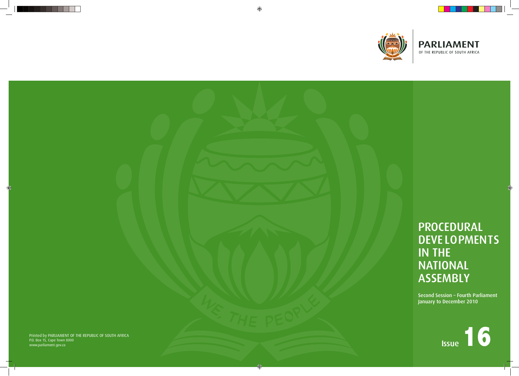# PROCEDURAL DEVE LOPMENTS IN THE NATIONAL ASSEMBLY

⊕

Printed by PARLIAMENT OF THE REPUBLIC OF SOUTH AFRICA P.O. Box 15, Cape Town 8000 Printed by PARLIAMENT OF THE REPUBLIC OF SOUTH AFRICA<br>P.O. Box 15, Cape Town 8000<br>www.parliament.gov.za **ISSUE** 





Second Session – Fourth Parliament January to December 2010

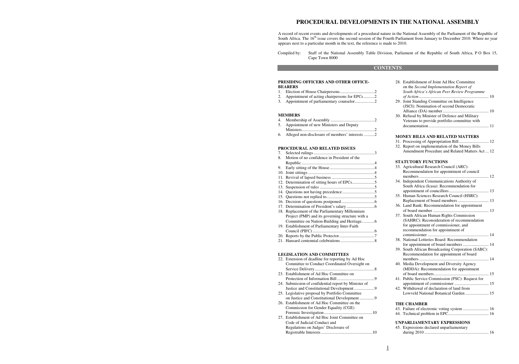# **PROCEDURAL DEVELOPMENTS IN THE NATIONAL ASSEMBLY**

A record of recent events and developments of a procedural nature in the National Assembly of the Parliament of the Republic of South Africa. The  $16<sup>th</sup>$  issue covers the second session of the Fourth Parliament from January to December 2010. Where no year appears next to a particular month in the text, the reference is made to 2010.

- 1. Election of House Chairpersons ................................ 2
- 2. Appointment of acting chairpersons for EPCs .......... 2
- 3. Appointment of parliamentary counselor ....................2

Compiled by: Staff of the National Assembly Table Division, Parliament of the Republic of South Africa, P O Box 15,

Cape Town 8000

#### **CONTENTS**

#### **PRESIDING OFFICERS AND OTHER OFFICE-BEARERS**

#### **MEMBERS**

- 4. Membership of Assembly ......................................... 2
- 5. Appointment of new Ministers and Deputy
- Ministers .................................................................... 2 6. Alleged non-disclosure of members' interests .......... 2

#### **PROCEDURAL AND RELATED ISSUES**

| 7.                                |                                                   |  |  |  |
|-----------------------------------|---------------------------------------------------|--|--|--|
| 8.                                | Motion of no confidence in President of the       |  |  |  |
|                                   |                                                   |  |  |  |
| 9.                                |                                                   |  |  |  |
|                                   |                                                   |  |  |  |
|                                   |                                                   |  |  |  |
|                                   |                                                   |  |  |  |
|                                   |                                                   |  |  |  |
|                                   |                                                   |  |  |  |
|                                   |                                                   |  |  |  |
|                                   |                                                   |  |  |  |
|                                   |                                                   |  |  |  |
|                                   | 18. Replacement of the Parliamentary Millennium   |  |  |  |
|                                   | Project (PMP) and its governing structure with a  |  |  |  |
|                                   | Committee on Nation-Building and Heritage6        |  |  |  |
|                                   | 19. Establishment of Parliamentary Inter-Faith    |  |  |  |
|                                   |                                                   |  |  |  |
|                                   |                                                   |  |  |  |
|                                   |                                                   |  |  |  |
|                                   |                                                   |  |  |  |
|                                   |                                                   |  |  |  |
| <b>LEGISLATION AND COMMITTEES</b> |                                                   |  |  |  |
|                                   | 22. Extension of deadline for reporting by Ad Hoc |  |  |  |
|                                   | Committee to Conduct Coordinated Oxygraph on      |  |  |  |

| 22. EXTERNOIT OF deadline for reporting by Ad Hoc    |
|------------------------------------------------------|
| Committee to Conduct Coordinated Oversight on        |
|                                                      |
| 23. Establishment of Ad Hoc Committee on             |
|                                                      |
| 24. Submission of confidential report by Minister of |
|                                                      |
| 25. Legislative proposal by Portfolio Committee      |
| on Justice and Constitutional Development 9          |
| 26. Establishment of Ad Hoc Committee on the         |
| Commission for Gender Equality (CGE)                 |
|                                                      |
| 27. Establishment of Ad Hoc Joint Committee on       |
| Code of Judicial Conduct and                         |
| Regulations on Judges' Disclosure of                 |
|                                                      |
|                                                      |

|                                    | 28. Establishment of Joint Ad Hoc Committee<br>on the Second Implementation Report of<br>South Africa's African Peer Review Programme |  |  |
|------------------------------------|---------------------------------------------------------------------------------------------------------------------------------------|--|--|
| 29.                                | Joint Standing Committee on Intelligence                                                                                              |  |  |
|                                    | (JSCI): Nomination of second Democratic                                                                                               |  |  |
|                                    | 30. Refusal by Minister of Defence and Military                                                                                       |  |  |
|                                    | Veterans to provide portfolio committee with                                                                                          |  |  |
|                                    |                                                                                                                                       |  |  |
|                                    | <b>MONEY BILLS AND RELATED MATTERS</b>                                                                                                |  |  |
|                                    | 31. Processing of Appropriation Bill 12                                                                                               |  |  |
|                                    | 32. Report on implementation of the Money Bills<br>Amendment Procedure and Related Matters Act  12                                    |  |  |
|                                    | <b>STATUTORY FUNCTIONS</b>                                                                                                            |  |  |
|                                    | 33. Agricultural Research Council (ARC):                                                                                              |  |  |
|                                    | Recommendation for appointment of council                                                                                             |  |  |
|                                    | 34. Independent Communications Authority of                                                                                           |  |  |
|                                    | South Africa (Icasa): Recommendation for                                                                                              |  |  |
|                                    |                                                                                                                                       |  |  |
|                                    | 35. Human Sciences Research Council (HSRC):                                                                                           |  |  |
|                                    |                                                                                                                                       |  |  |
|                                    | 36. Land Bank: Recommendation for appointment                                                                                         |  |  |
|                                    | 37. South African Human Rights Commission                                                                                             |  |  |
|                                    | (SAHRC): Reconsideration of recommendation                                                                                            |  |  |
|                                    | for appointment of commissioner, and                                                                                                  |  |  |
|                                    | recommendation for appointment of                                                                                                     |  |  |
|                                    | 38. National Lotteries Board: Recommendation                                                                                          |  |  |
|                                    | for appointment of board members  14                                                                                                  |  |  |
|                                    | 39. South African Broadcasting Corporation (SABC):                                                                                    |  |  |
|                                    | Recommendation for appointment of board                                                                                               |  |  |
|                                    |                                                                                                                                       |  |  |
|                                    | 40. Media Development and Diversity Agency<br>(MDDA): Recommendation for appointment                                                  |  |  |
|                                    |                                                                                                                                       |  |  |
|                                    | 41. Public Service Commission (PSC): Request for                                                                                      |  |  |
|                                    |                                                                                                                                       |  |  |
|                                    | 42. Withdrawal of declaration of land from                                                                                            |  |  |
|                                    | Lowveld National Botanical Garden  15                                                                                                 |  |  |
|                                    | <b>THE CHAMBER</b>                                                                                                                    |  |  |
|                                    | 43. Failure of electronic voting system  16                                                                                           |  |  |
|                                    |                                                                                                                                       |  |  |
| <b>UNPARLIAMENTARY EXPRESSIONS</b> |                                                                                                                                       |  |  |
|                                    | 45. Expressions declared unparliamentary                                                                                              |  |  |
|                                    |                                                                                                                                       |  |  |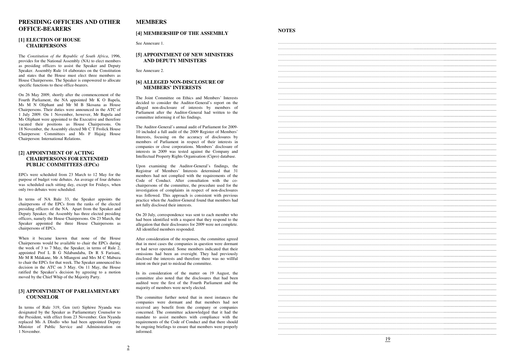# **PRESIDING OFFICERS AND OTHER OFFICE-BEARERS**

#### **[1] ELECTION OF HOUSE CHAIRPERSONS**

The *Constitution of the Republic of South Africa*, 1996, provides for the National Assembly (NA) to elect members as presiding officers to assist the Speaker and Deputy Speaker. Assembly Rule 14 elaborates on the Constitution and states that the House must elect three members as House Chairpersons. The Speaker is empowered to allocate specific functions to these office-bearers.

On 26 May 2009, shortly after the commencement of the Fourth Parliament, the NA appointed Mr K O Bapela, Ms M N Oliphant and Mr M B Skosana as House Chairpersons. Their duties were announced in the ATC of 1 July 2009. On 1 November, however, Mr Bapela and Ms Oliphant were appointed to the Executive and therefore vacated their positions as House Chairpersons. On 18 November, the Assembly elected Mr C T Frolick House Chairperson: Committees and Ms F Hajaig House Chairperson: International Relations.

#### **[2] APPOINTMENT OF ACTING CHAIRPERSONS FOR EXTENDED PUBLIC COMMITTEES (EPCs)**

EPCs were scheduled from 23 March to 12 May for the purpose of budget vote debates. An average of four debates was scheduled each sitting day, except for Fridays, when only two debates were scheduled.

In terms of NA Rule 33, the Speaker appoints the chairpersons of the EPCs from the ranks of the elected presiding officers of the NA. Apart from the Speaker and Deputy Speaker, the Assembly has three elected presiding officers, namely the House Chairpersons. On 23 March, the Speaker appointed the three House Chairpersons as chairpersons of EPCs.

When it became known that none of the House Chairpersons would be available to chair the EPCs during the week of 3 to 7 May, the Speaker, in terms of Rule 2, appointed Prof L B G Ndabandaba, Dr R S Farisani, Mr M R Mdakane, Mr A Mlangeni and Mrs M C Mabuza to chair the EPCs for that week. The Speaker announced his decision in the ATC on 3 May. On 11 May, the House ratified the Speaker's decision by agreeing to a motion moved by the Chief Whip of the Majority Party.

#### **[3] APPOINTMENT OF PARLIAMENTARY COUNSELOR**

In terms of Rule 319, Gen (ret) Siphiwe Nyanda was designated by the Speaker as Parliamentary Counselor to the President, with effect from 23 November. Gen Nyanda replaced Ms A Dlodlo who had been appointed Deputy Minister of Public Service and Administration on 1 November.

# **MEMBERS**

#### **[4] MEMBERSHIP OF THE ASSEMBLY**

See Annexure 1.

#### **[5] APPOINTMENT OF NEW MINISTERS AND DEPUTY MINISTERS**

See Annexure 2.

#### **[6] ALLEGED NON-DISCLOSURE OF MEMBERS' INTERESTS**

The Joint Committee on Ethics and Members' Interests decided to consider the Auditor-General's report on the alleged non-disclosure of interests by members of Parliament after the Auditor-General had written to the committee informing it of his findings.

The Auditor-General's annual audit of Parliament for 2009- 10 included a full audit of the 2009 Register of Members' Interests, focusing on the accuracy of disclosures by members of Parliament in respect of their interests in companies or close corporations. Members' disclosure of interests in 2009 was tested against the Company and Intellectual Property Rights Organisation (Cipro) database.

Upon examining the Auditor-General's findings, the Registrar of Members' Interests determined that 31 members had not complied with the requirements of the Code of Conduct. After consultation with the cochairpersons of the committee, the procedure used for the investigation of complaints in respect of non-disclosures was followed. This approach is consistent with previous practice when the Auditor-General found that members had not fully disclosed their interests.

On 20 July, correspondence was sent to each member who had been identified with a request that they respond to the allegation that their disclosures for 2009 were not complete. All identified members responded.

After consideration of the responses, the committee agreed that in most cases the companies in question were dormant or had never operated. Some members indicated that their omissions had been an oversight. They had previously disclosed the interests and therefore there was no willful intent on their part to mislead the committee.

In its consideration of the matter on 19 August, the committee also noted that the disclosures that had been audited were the first of the Fourth Parliament and the majority of members were newly elected.

The committee further noted that in most instances the companies were dormant and that members had not received any benefit from the company or companies concerned. The committee acknowledged that it had the mandate to assist members with compliance with the requirements of the Code of Conduct and that there should be ongoing briefings to ensure that members were properly informed.

# **NOTES**

| <u>19</u> |
|-----------|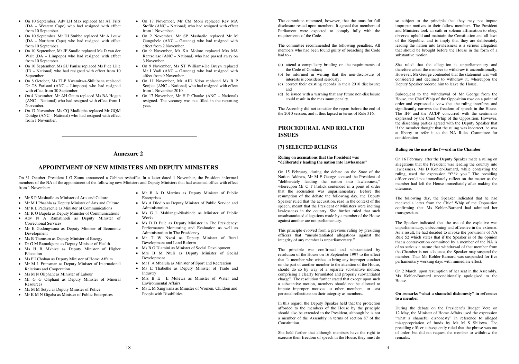- On 10 September, Adv LH Max replaced Mr AT Fritz (DA – Western Cape) who had resigned with effect from 10 September.
- On 10 September, Mr DJ Stubbe replaced Mr A Louw (DA – Northern Cape) who had resigned with effect from 10 September.
- On 10 September, Mr JF Smalle replaced Ms D van der Walt  $(DA - Limpopo)$  who had resigned with effect from 10 September.
- On 10 September, Ms SU Paulse replaced Ms P de Lille (ID – National) who had resigned with effect from 10 September.
- On 8 October, Ms TLP Nwamitwa-Shilubana replaced Dr TS Farisani (ANC – Limpopo) who had resigned with effect from 30 September.
- On 4 November, Mr AH Gaum replaced Ms BA Hogan (ANC – National) who had resigned with effect from 1 November.
- On 17 November, Ms CO Madlopha replaced Mr GOM Doidge (ANC – National) who had resigned with effect from 1 November.
- On 17 November, Mr CM Moni replaced Rev MA Stofile (ANC – National) who had resigned with effect from 1 November.
- On 2 November, Mr SP Mashatile replaced Mr M Gungubele (ANC – Gauteng) who had resigned with effect from 2 November.
- On 9 November, Mr KA Moloto replaced Mrs MA Rantsolase (ANC – National) who had passed away on 3 November.
- On 9 November, Ms ST Williams-De Bruyn replaced Mr I Vadi (ANC – Gauteng) who had resigned with effect from 9 November.
- On 11 November, Mr AJD Ndou replaced Ms B P Soniica (ANC – National) who had resigned with effect from 1 November 2010.
- On 17 November, Mr H P Chauke (ANC National) resigned. The vacancy was not filled in the reporting year.

# **Annexure 2**

# **APPOINTMENT OF NEW MINISTERS AND DEPUTY MINISTERS**

On 31 October, President J G Zuma announced a Cabinet reshuffle. In a letter dated 1 November, the President informed members of the NA of the appointment of the following new Ministers and Deputy Ministers that had assumed office with effect from 1 November:

- Mr S P Mashatile as Minister of Arts and Culture
- Mr M J Phaahla as Deputy Minister of Arts and Culture
- Mr R L Padayachie as Minister of Communications
- Mr K O Bapela as Deputy Minister of Communications
- Adv N A Ramatlhodi as Deputy Minister of Correctional Services
- Mr E Godongwana as Deputy Minister of Economic Development
- Ms B Thomson as Deputy Minister of Energy
- Dr G M Ramokgopa as Deputy Minister of Health
- Ms H B Mkhize as Deputy Minister of Higher Education
- Ms F I Chohan as Deputy Minister of Home Affairs
- Mr M L Fransman as Deputy Minister of International Relations and Cooperation
- Ms M N Oliphant as Minister of Labour
- Mr G G Oliphant as Deputy Minister of Mineral Resources
- Ms M M Sotyu as Deputy Minister of Police
- Mr K M N Gigaba as Minister of Public Enterprises

The principle was confirmed and substantiated by resolution of the House on 16 September 1997 to the effect that "a member who wishes to bring any improper conduct on the part of another member to the attention of the House, should do so by way of a separate substantive motion, comprising a clearly formulated and properly substantiated charge". The resolution further stated that except upon such a substantive motion, members should not be allowed to impute improper motives to other members, or cast personal reflections on their integrity as members.

- Mr B A D Martins as Deputy Minister of Public Enterprises
- Ms A Dlodlo as Deputy Minister of Public Service and Administration
- Ms G L Mahlangu-Nkabinde as Minister of Public Works
- Ms D D Pule as Deputy Minister in The Presidency: Performance Monitoring and Evaluation as well as Administration in The Presidency.
- Mr T W Nxesi as Deputy Minister of Rural Development and Land Reform
- Ms B O Dlamini as Minister of Social Development
- Mrs B M Ntuli as Deputy Minister of Social Development
- Mr F A Mbalula as Minister of Sport and Recreation
- Ms E Thabethe as Deputy Minister of Trade and Industry
- Mrs B E E Molewa as Minister of Water and Environmental Affairs
- Ms L M Xingwana as Minister of Women, Children and People with Disabilities

The committee reiterated, however, that the onus for full disclosure rested upon members. It agreed that members of Parliament were expected to comply fully with the requirements of the Code.

The committee recommended the following penalties. All members who had been found guilty of breaching the Code had to -

- (a) attend a compulsory briefing on the requirements of the Code of Conduct;
- (b) be informed in writing that the non-disclosure of interests is considered seriously;
- (c) correct their existing records in their 2010 disclosure; and
- (d) be issued with a warning that any future non-disclosure could result in the maximum penalty.

The Assembly did not consider the report before the end of the 2010 session, and it thus lapsed in terms of Rule 316.

# **PROCEDURAL AND RELATED ISSUES**

#### **[7] SELECTED RULINGS**

#### **Ruling on accusations that the President was "deliberately leading the nation into lawlessness"**

On 15 February, during the debate on the State of the Nation Address, Mr M E George accused the President of "deliberately leading the nation into lawlessness," whereupon Mr C T Frolick contended in a point of order that the accusation was unparliamentary. Before the resumption of the debate the following day, the Deputy Speaker ruled that the accusation, read in the context of the speech, meant that the President or Ministers were inciting lawlessness in the country. She further ruled that such unsubstantiated allegations made by a member of the House against another are not parliamentary.

This principle evolved from a previous ruling by presiding officers that "unsubstantiated allegations against the integrity of any member is unparliamentary."

In this regard, the Deputy Speaker held that the protection afforded to the members of the House by the principle should also be extended to the President, although he is not a member of the Assembly in terms of section 87 of the Constitution.

She held further that although members have the right to exercise their freedom of speech in the House, they must do

so subject to the principle that they may not impute improper motives to their fellow members. The President and Ministers took an oath or solemn affirmation to obey, observe, uphold and maintain the Constitution and all laws of the Republic, and to imply that they are deliberately leading the nation into lawlessness is a serious allegation that should be brought before the House in the form of a substantive motion.

She ruled that the allegation is unparliamentary and therefore asked the member to withdraw it unconditionally. However, Mr George contended that the statement was well considered and declined to withdraw it, whereupon the Deputy Speaker ordered him to leave the House.

Subsequent to the withdrawal of Mr George from the House, the Chief Whip of the Opposition rose on a point of order and expressed a view that the ruling interferes and significantly narrows the freedom of speech in the House. The IFP and the ACDP concurred with the sentiments expressed by the Chief Whip of the Opposition. However, the dissenting parties agreed with the Deputy Speaker that if the member thought that the ruling was incorrect, he was at liberty to refer it to the NA Rules Committee for consideration.

#### **Ruling on the use of the f-word in the Chamber**

On 16 February, after the Deputy Speaker made a ruling on allegations that the President was leading the country into lawlessness, Ms D Kohler-Barnard, while contesting the ruling, used the expression "f\*\*k you." The presiding officer could not immediately reflect on the matter as the member had left the House immediately after making the utterance.

The following day, the Speaker indicated that he had received a letter from the Chief Whip of the Opposition confirming that Ms Kohler-Barnard had admitted her transgression.

The Speaker indicated that the use of the expletive was unparliamentary, unbecoming and offensive in the extreme. As a result, he had decided to invoke the provisions of NA Rule 52 which states that if the Speaker is of the opinion that a contravention committed by a member of the NA is of so serious a nature that withdrawal of that member from the Chamber is not adequate, the Speaker may suspend the member. Thus Ms Kohler-Barnard was suspended for five parliamentary working days with immediate effect.

On 2 March, upon resumption of her seat in the Assembly, Ms Kohler-Barnard unconditionally apologised to the House.

#### **On remarks "what a shameful dishonesty" in reference to a member**

During the debate on the President's Budget Vote on 12 May, the Minister of Home Affairs used the expression "what a shameful dishonesty" in reference to alleged misappropriation of funds by Mr M S Shilowa. The presiding officer subsequently ruled that the phrase was out of order, but did not request the member to withdraw the remarks.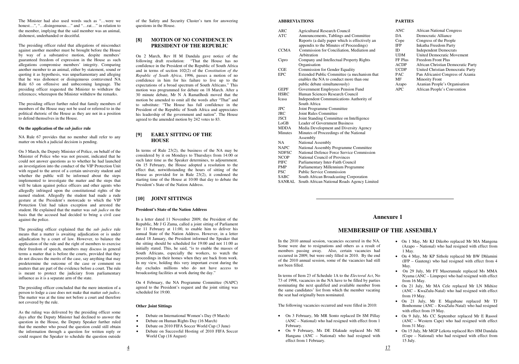The Minister had also used words such as "…were we honest...", "...disingenuous..." and "...rat..." in relation to the member, implying that the said member was an animal, dishonest, underhanded or deceitful.

The presiding officer ruled that allegations of misconduct against another member must be brought before the House by way of a substantive motion, despite members' guaranteed freedom of expression in the House as such allegations compromise members' integrity. Comparing another member to an animal, either by statement, sound or quoting it as hypothesis, was unparliamentary and alleging that he was dishonest or disingenuous contravened NA Rule 63 on offensive and unbecoming language. The presiding officer requested the Minister to withdraw the references; whereupon the Minister withdrew the remarks.

The presiding officer further ruled that family members of members of the House may not be used or referred to in the political rhetoric of the House as they are not in a position to defend themselves in the House.

#### **On the application of the** *sub judice* **rule**

NA Rule 67 provides that no member shall refer to any matter on which a judicial decision is pending.

On 3 March, the Deputy Minister of Police, on behalf of the Minister of Police who was not present, indicated that he could not answer questions as to whether he had launched an investigation into the conduct of the VIP Protection Unit with regard to the arrest of a certain university student and whether the public will be informed about the steps implemented to investigate the matter and the steps that will be taken against police officers and other agents who allegedly infringed upon the constitutional rights of the named student. Allegedly the student had made a rude gesture at the President's motorcade to which the VIP Protection Unit had taken exception and arrested the student. He explained that the matter was *sub judice* on the basis that the accused had decided to bring a civil case against the police.

The presiding officer explained that the *sub judice* rule means that a matter is awaiting adjudication or is under adjudication by a court of law. However, to balance the application of the rule and the right of members to exercise their freedom of speech, members may discuss in general terms a matter that is before the courts, provided that they do not discuss the merits of the case, say anything that may predetermine the outcome of the case or comment on matters that are part of the evidence before a court. The rule is meant to protect the judiciary from parliamentary influence as it is a separate arm of the state.

The presiding officer concluded that the mere intention of a person to lodge a case does not make that matter *sub judice*. The matter was at the time not before a court and therefore not covered by the rule.

As the ruling was delivered by the presiding officer some days after the Deputy Minister had declined to answer the question in the House, the Deputy Speaker further ruled that the member who posed the question could still obtain the information through a question for written reply or could request the Speaker to schedule the question outside

of the Safety and Security Cluster's turn for answering questions in the House.

#### **[8] MOTION OF NO CONFIDENCE IN PRESIDENT OF THE REPUBLIC**

On 2 March, Rev H M Dandala gave notice of the following draft resolution: "That the House has no confidence in the President of the Republic of South Africa and in terms of section 102(2) of the *Constitution of the Republic of South Africa*, 1996, passes a motion of no confidence in him for his failure to live up to the expectations of a broad spectrum of South Africans." This motion was programmed for debate on 18 March. After a 30 minute debate, Mr N A Ramatlhodi moved that the motion be amended to omit all the words after "That" and to substitute: "The House has full confidence in the President of the Republic of South Africa and appreciates his leadership of the government and nation". The House agreed to the amended motion by 242 votes to 83.

## **[9] EARLY SITTING OF THE HOUSE**

In terms of Rule 23(2), the business of the NA may be considered by it on Mondays to Thursdays from 14:00 or such later time as the Speaker determines, to adjournment. On 15 February, the House adopted a resolution to the effect that, notwithstanding the hours of sitting of the House as provided for in Rule 23(2), it condoned the starting time of the House at 10:00 that day to debate the President's State of the Nation Address.

- On 1 May, Mr KJ Dikobo replaced Mr MA Mangena (Azapo – National) who had resigned with effect from 1 May.
- On 4 May, Mr KP Sithole replaced Mr BW Dhlamini (IFP – Gauteng) who had resigned with effect from 4 May.
- On 29 July, Mr FT Maserumule replaced Ms MMA Nyama (ANC – Limpopo) who had resigned with effect from 16 May.
- On 21 July, Mr MA Cele replaced Mr LN Mkhize (ANC – KwaZulu-Natal) who had resigned with effect from 19 May.
- On 21 July, Mr E Magubane replaced Mr TJ Bonhomme (ANC – KwaZulu-Natal) who had resigned with effect from 19 May.
- On 9 July, Ms CC September replaced Mr E Rasool (ANC – Western Cape) who had resigned with effect from 31 May.
- On 15 July, Mr MGP Lekota replaced Rev HM Dandala (Cope – National) who had resigned with effect from 15 July.

# **[10] JOINT SITTINGS**

#### **President's State of the Nation Address**

In a letter dated 11 November 2009, the President of the Republic, Mr J G Zuma, called a joint sitting of Parliament for 11 February at 11:00, to enable him to deliver his annual State of the Nation Address. However, in a letter dated 18 January, the President informed the Speaker that the sitting should be scheduled for 19:00 and not 11:00 as initially stated. This, he said, "is to enable the masses of South Africans, especially the workers, to watch the proceedings in their homes when they are back from work. In my view, holding this very important event during the day excludes millions who do not have access to broadcasting facilities at work during the day."

On 4 February, the NA Programme Committee (NAPC) agreed to the President's request and the joint sitting was scheduled for 19:00.

#### **Other Joint Sittings**

- Debate on International Women's Day (9 March)
- Debate on Human Rights Day (16 March)
- Debate on 2010 FIFA Soccer World Cup (3 June)
- Debate on Successful Hosting of 2010 FIFA Soccer World Cup (18 August)

#### **ABBREVIATIONS**

| <b>ARC</b>     | <b>Agricultural Research Council</b>           |
|----------------|------------------------------------------------|
| <b>ATC</b>     | Announcements, Tablings and Committee          |
|                | Reports (a daily paper which is effectively an |
|                | appendix to the Minutes of Proceedings)        |
| <b>CCMA</b>    | Commission for Conciliation, Mediation and     |
|                | Arbitration                                    |
| Cipro          | Company and Intellectual Property Rights       |
|                | Organisation                                   |
| CGE            | Commission for Gender Equality                 |
| <b>EPC</b>     | Extended Public Committee (a mechanism that    |
|                | enables the NA to conduct more than one        |
|                | public debate simultaneously)                  |
| <b>GEPF</b>    | Government Employees Pension Fund              |
| <b>HSRC</b>    | Human Sciences Research Council                |
| Icasa          | <b>Independent Communications Authority of</b> |
|                | South Africa                                   |
| $_{\rm{JPC}}$  | Joint Programme Committee                      |
| <b>JRC</b>     | <b>Joint Rules Committee</b>                   |
| <b>JSCI</b>    | Joint Standing Committee on Intelligence       |
| LoGB           | <b>Leader of Government Business</b>           |
| <b>MDDA</b>    | Media Development and Diversity Agency         |
| <b>Minutes</b> | Minutes of Proceedings of the National         |
|                | Assembly                                       |
| <b>NA</b>      | National Assembly                              |
| <b>NAPC</b>    | National Assembly Programme Committee          |
| <b>NDFSC</b>   | National Defence Force Service Commission      |
| <b>NCOP</b>    | National Council of Provinces                  |
| <b>PIFC</b>    | Parliamentary Inter-Faith Council              |
| <b>PMP</b>     | Parliamentary Millennium Programme             |
| <b>PSC</b>     | <b>Public Service Commission</b>               |
| <b>SABC</b>    | South African Broadcasting Corporation         |
| <b>SANRAL</b>  | South African National Roads Agency Limited    |

#### **PARTIES**

| <b>ANC</b>  | <b>African National Congress</b>   |
|-------------|------------------------------------|
| DA          | Democratic Alliance                |
| Cope        | Congress of the People             |
| <b>IFP</b>  | Inkatha Freedom Party              |
| ID          | <b>Independent Democrats</b>       |
| <b>UDM</b>  | <b>United Democratic Movement</b>  |
| FF Plus     | Freedom Front Plus                 |
| <b>ACDP</b> | African Christian Democratic Party |
| <b>UCDP</b> | United Christian Democratic Party  |
| <b>PAC</b>  | Pan Africanist Congress of Azania  |
| MF          | <b>Minority Front</b>              |
| Azapo       | Azanian People's Organisation      |
| <b>APC</b>  | African People's Convention        |

# **Annexure 1**

# **MEMBERSHIP OF THE ASSEMBLY**

In the 2010 annual session, vacancies occurred in the NA. Some were due to resignations and others as a result of members passing away. Also, certain vacancies had occurred in 2009, but were only filled in 2010. By the end of the 2010 annual session, some of the vacancies had still not been filled.

In terms of Item 23 of Schedule 1A to the *Electoral Act*, No 73 of 1998, vacancies in the NA have to be filled by parties nominating the next qualified and available member from the same candidates' list from which the member vacating the seat had originally been nominated.

The following vacancies occurred and were filled in 2010:

- On 3 February, Mr MR Sonto replaced Dr SM Pillay (ANC – National) who had resigned with effect from 1 February.
- On 9 February, Ms DE Dlakude replaced Ms NE Hangana (ANC – National) who had resigned with effect from 1 February.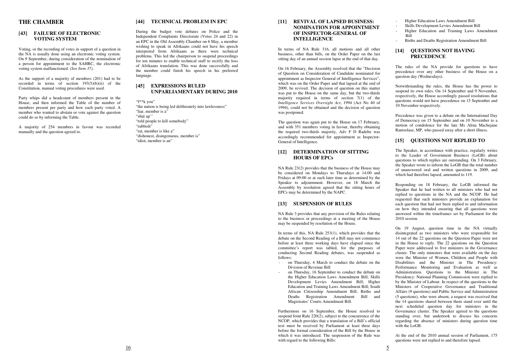#### **THE CHAMBER**

#### **[43] FAILURE OF ELECTRONIC VOTING SYSTEM**

Voting, or the recording of votes in support of a question in the NA is usually done using an electronic voting system. On 9 September, during consideration of the nomination of a person for appointment to the SAHRC, the electronic voting system malfunctioned. *(See Item 37).* 

As the support of a majority of members (201) had to be recorded in terms of section  $193(5)(b)(ii)$  of the Constitution, manual voting procedures were used.

Party whips did a headcount of members present in the House, and then informed the Table of the number of members present per party and how each party voted. A member who wanted to abstain or vote against the question could do so by informing the Table.

A majority of 254 members in favour was recorded manually and the question agreed to.

#### **[44] TECHNICAL PROBLEM IN EPC**

During the budget vote debates on Police and the Independent Complaints Directorate (Votes 24 and 22) in an EPC in the Old Assembly Chamber on 6 May, a member wishing to speak in Afrikaans could not have his speech interpreted from Afrikaans as there were technical problems. This led the chairperson to suspend proceedings for ten minutes to enable technical staff to rectify the loss of Afrikaans translation. This was done successfully and the member could finish his speech in his preferred language.

#### **[45] EXPRESSIONS RULED UNPARLIAMENTARY DURING 2010**

"f\*\*k you" "the nation is being led deliberately into lawlessness" "liar, member is a" "shut up'' "told people to kill somebody" "rubbish" "rat, member is like a" "dishonest, disingenuous, member is" "idiot, member is an"

#### **[11] REVIVAL OF LAPSED BUSINESS: NOMINATION FOR APPOINTMENT OF INSPECTOR-GENERAL OF INTELLIGENCE**

In terms of NA Rule 316, all motions and all other business, other than bills, on the Order Paper on the last sitting day of an annual session lapse at the end of that day.

On 16 February, the Assembly resolved that the "Decision of Question on Consideration of Candidate nominated for appointment as Inspector General of Intelligence Services", which was on the Order Paper and that lapsed at the end of 2009, be revived. The decision of question on this matter was put to the House on the same day, but the two-thirds majority required in terms of section  $7(1)$  of the *Intelligence Services Oversight Act*, 1994 (Act No 40 of 1994), could not be obtained and the decision of question was postponed.

The question was again put to the House on 17 February, and with 351 members voting in favour, thereby obtaining the required two-thirds majority, Adv F D Radebe was accordingly recommended for appointment as Inspector-General of Intelligence.

#### **[12] DETERMINATION OF SITTING HOURS OF EPCs**

NA Rule 23(2) provides that the business of the House may be considered on Mondays to Thursdays at 14:00 and Fridays at 09:00 or at such later time as determined by the Speaker to adjournment. However, on 18 March the Assembly by resolution agreed that the sitting hours of EPCs may be determined by the NAPC.

> On 19 August, question time in the NA virtually disintegrated as two ministers who were responsible for 14 out of the 22 questions on the Question Paper were not in the House to reply. The 22 questions on the Question Paper were addressed to five ministers in the Governance cluster. The only ministers that were available on the day were the Minister of Women, Children and People with Disabilities and the Minister in The Presidency: Performance Monitoring and Evaluation as well as Administration. Questions to the Minister in The Presidency: National Planning Commission were replied to by the Minister of Labour. In respect of the questions to the Ministers of Cooperative Governance and Traditional Affairs (9 questions) and Public Service and Administration (5 questions), who were absent, a request was received that the 14 questions shared between them stand over until the next scheduled question day for ministers in the Governance cluster. The Speaker agreed to the questions standing over, but undertook to discuss his concerns regarding the absence of ministers during question time with the LoGB.

#### **[13] SUSPENSION OF RULES**

NA Rule 3 provides that any provision of the Rules relating to the business or proceedings at a meeting of the House may be suspended by resolution of the House.

In terms of this, NA Rule 253(1), which provides that the debate on the Second Reading of a Bill may not commence before at least three working days have elapsed since the committee's report was tabled, for the purposes of conducting Second Reading debates, was suspended as follows:

- on Thursday, 4 March to conduct the debate on the Division of Revenue Bill
- on Thursday, 16 September to conduct the debate on the Higher Education Laws Amendment Bill; Skills Development Levies Amendment Bill; Higher Education and Training Laws Amendment Bill; South African Citizenship Amendment Bill; Births and Deaths Registration Amendment Bill and Magistrates' Courts Amendment Bill.

Furthermore on 16 September, the House resolved to suspend Joint Rule 220(2), subject to the concurrence of the NCOP, which provides that a translation of a Bill's official text must be received by Parliament at least three days before the formal consideration of the Bill by the House in which it was introduced. The suspension of the Rule was with regard to the following Bills:

- Higher Education Laws Amendment Bill
- Skills Development Levies Amendment Bill
- Higher Education and Training Laws Amendment Bill
- Births and Deaths Registration Amendment Bill

# **[14] QUESTIONS NOT HAVING PRECEDENCE**

The rules of the NA provide for questions to have precedence over any other business of the House on a question day (Wednesdays).

Notwithstanding the rules, the House has the power to suspend its own rules. On 14 September and 9 November, respectively, the House accordingly passed resolutions that questions would not have precedence on 15 September and 10 November respectively.

Precedence was given to a debate on the International Day of Democracy on 15 September and on 10 November to a motion of condolence for the late Ms Alina Machejane Rantsolase, MP, who passed away after a short illness.

# **[15] QUESTIONS NOT REPLIED TO**

The Speaker, in accordance with practice, regularly writes to the Leader of Government Business (LoGB) about questions to which replies are outstanding. On 3 February, the Speaker wrote to inform the LoGB that the total number of unanswered oral and written questions in 2009, and which had therefore lapsed, amounted to 119.

Responding on 18 February, the LoGB informed the Speaker that he had written to all ministers who had not replied to questions in the NA and the NCOP. He had requested that such ministers provide an explanation for each question that had not been replied to and information on how they intended ensuring that all questions were answered within the timeframes set by Parliament for the 2010 session.

At the end of the 2010 annual session of Parliament, 175 questions were not replied to and therefore lapsed.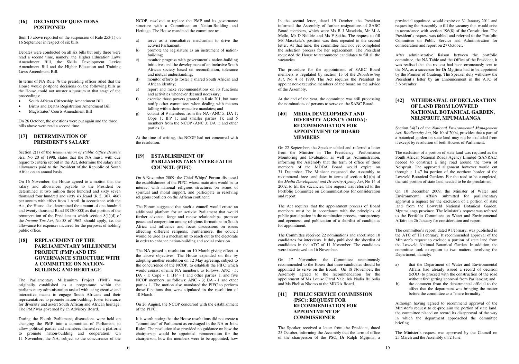# **[16] DECISION OF QUESTIONS POSTPONED**

Item 13 above reported on the suspension of Rule 253(1) on 16 September in respect of six bills.

Debates were conducted on all six bills but only three were read a second time, namely, the Higher Education Laws Amendment Bill, the Skills Development Levies Amendment Bill and the Higher Education and Training Laws Amendment Bill.

In terms of NA Rule 76 the presiding officer ruled that the House would postpone decisions on the following bills as the House could not muster a quorum at that stage of the proceedings:

- South African Citizenship Amendment Bill
- Births and Deaths Registration Amendment Bill
- Magistrates' Courts Amendment Bill

On 26 October, the questions were put again and the three bills above were read a second time.

# **[17] DETERMINATION OF PRESIDENT'S SALARY**

Section 2(1) of the *Remuneration of Public Office Bearers Act*, No 20 of 1998, states that the NA must, with due regard to criteria set out in the Act, determine the salary and allowances paid to the President of the Republic of South Africa on an annual basis.

On 16 November, the House agreed to a motion that the salary and allowances payable to the President be determined at two million three hundred and sixty seven thousand four hundred and sixty six Rand (R 2, 367, 466) per annum with effect from 1 April. In accordance with the Act, the House also determined the amount of one hundred and twenty thousand Rand (R120 000) as that portion of the remuneration of the President to which section 8(1)(d) of the *Income Tax Act*, No 58 of 1962, should apply, i.e. the allowance for expenses incurred for the purposes of holding public office.

# **[18] REPLACEMENT OF THE PARLIAMENTARY MILLENNIUM PROJECT (PMP) AND ITS GOVERNANCE STRUCTURE WITH A COMMITTEE ON NATION-BUILDING AND HERITAGE**

The Parliamentary Millennium Project (PMP) was originally established as a programme within the parliamentary administration tasked with using creative and interactive means to engage South Africans and their representatives to promote nation-building, foster tolerance for diversity and assert South African and African heritage. The PMP was governed by an Advisory Board.

During the Fourth Parliament, discussions were held on changing the PMP into a committee of Parliament to allow political parties and members themselves a platform to promote nation-building and cooperation. On 11 November, the NA, subject to the concurrence of the

NCOP, resolved to replace the PMP and its governance structure with a Committee on Nation-Building and Heritage. The House mandated the committee to:

- a) serve as a consultative mechanism to drive the activist Parliament;
- b) promote the legislature as an instrument of nationbuilding;
- c) monitor progress with government's nation-building initiatives and the development of an inclusive South African society based on reconciliation, tolerance and mutual understanding;
- d) monitor efforts to foster a shared South African and African identity;
- e) report and make recommendations on its functions and activities whenever deemed necessary;
- f) exercise those powers granted in Rule 201, but must notify other committees when dealing with matters falling within their respective mandates; and
- g) consist of 9 members from the NA (ANC 5; DA 1; Cope 1; IFP 1; and smaller parties 1); and 5 members from the NCOP (ANC 3; DA 1; and other parties 1).

At the time of writing, the NCOP had not concurred with the resolution.

# **[19] ESTABLISHMENT OF PARLIAMENTARY INTER-FAITH COUNCIL (PIFC)**

On 6 November 2009, the Chief Whips' Forum discussed the establishment of the PIFC, whose main aim would be to interact with national religious structures on issues of spiritual and moral support, and participate in resolving religious conflicts on the African continent.

The Forum suggested that such a council would create an additional platform for an activist Parliament that would further advance, forge and renew relationships, promote peace and cooperation among religious formations in South Africa and influence and focus discussions on issues affecting different religions. Furthermore, the council would be used as a mechanism to reach out to the electorate in order to enhance nation-building and social cohesion.

The NA passed a resolution on 10 March giving effect to the above objectives. The House expanded on this by adopting another resolution on 12 May agreeing, subject to the concurrence of the NCOP, to establish the PIFC which would consist of nine NA members, as follows: ANC - 5; DA - 1; Cope - 1; IFP - 1 and other parties 1; and five NCOP members, as follows: ANC - 3; DA - 1 and other parties 1. The motion also mandated the PIFC to perform those functions that were stipulated in the resolution of 10 March.

#### On 26 August, the NCOP concurred with the establishment of the PIFC.

It is worth noting that the House resolutions did not create a "committee" of Parliament as envisaged in the NA or Joint Rules. The resolution also provided no guidance on how the chairperson would be appointed, remuneration for the chairperson, how the members were to be appointed, how

In the second letter, dated 19 October, the President informed the Assembly of further resignations of SABC Board members, which were Ms B J Masekela, Mr M A Mello, Mr D Niddrie and Ms F Sekha. The request to fill Ms Masekela's position was thus repeated in the second letter. At that time, the committee had not yet completed the selection process for her replacement. The President requested the House to recommend candidates to fill all the vacancies.

The procedure for the appointment of SABC Board members is regulated by section 13 of the *Broadcasting Act*, No 4 of 1999. The Act requires the President to appoint non-executive members of the board on the advice of the Assembly.

At the end of the year, the committee was still processing the nominations of persons to serve on the SABC Board.

# **[40] MEDIA DEVELOPMENT AND DIVERSITY AGENCY (MDDA): RECOMMENDATION FOR APPOINTMENT OF BOARD MEMBERS**

On 22 September, the Speaker tabled and referred a letter from the Minister in The Presidency: Performance Monitoring and Evaluation as well as Administration, informing the Assembly that the term of office of three members of the MDDA Board would expire on 31 December. The Minister requested the Assembly to recommend three candidates in terms of section 4(1)(b) of the *Media Development and Diversity Agency Act*, No 14 of 2002, to fill the vacancies. The request was referred to the Portfolio Committee on Communications for consideration and report.

The Act requires that the appointment process of Board members must be in accordance with the principles of public participation in the nomination process, transparency and openness, and publication of a shortlist of candidates for appointment.

The Committee received 22 nominations and shortlisted 10 candidates for interviews. It duly published the shortlist of candidates in the ATC of 11 November. The candidates were interviewed on 16 November.

On 17 November, the Committee unanimously recommended to the House that three candidates should be appointed to serve on the Board. On 18 November, the Assembly agreed to the recommendation for the appointment of Ms Louise Carol Vale, Ms Nadia Bulbulia and Ms Phelisa Nkomo to the MDDA Board.

# **[41] PUBLIC SERVICE COMMISSION (PSC): REQUEST FOR RECOMMENDATION FOR APPOINTMENT OF COMMISSIONER**

The Speaker received a letter from the President, dated 25 October, informing the Assembly that the term of office of the chairperson of the PSC, Dr Ralph Mgijima, a

provincial appointee, would expire on 31 January 2011 and requesting the Assembly to fill the vacancy that would arise in accordance with section 196(8) of the Constitution. The President's request was tabled and referred to the Portfolio Committee on Public Service and Administration for consideration and report on 27 October.

After administrative liaison between the portfolio committee, the NA Table and the Office of the President, it was realised that the request had been erroneously sent to the NA, as a successor for Dr Mgijima had to be appointed by the Premier of Gauteng. The Speaker duly withdrew the President's letter by an announcement in the ATC of 3 November.

# **[42] WITHDRAWAL OF DECLARATION OF LAND FROM LOWVELD NATIONAL BOTANICAL GARDEN, NELSPRUIT, MPUMALANGA**

Section 34(2) of the *National Environmental Management Act: Biodiversity Act*, No 10 of 2004, provides that a part of a botanical garden on state land may not be excluded from it except by resolution of both Houses of Parliament.

The exclusion of a portion of state land was required as the South African National Roads Agency Limited (SANRAL) needed to construct a ring road around the town of Nelspruit. The approved alignment however would cut through a 1.47 ha portion of the northern border of the Lowveld Botanical Gardens. For the road to be completed, the said portion of state land needed to be de-proclaimed.

On 10 December 2009, the Minister of Water and Environmental Affairs submitted for parliamentary approval a request for the exclusion of a portion of state land from the Lowveld National Botanical Garden, Mpumalanga province. The Minister's request was referred to the Portfolio Committee on Water and Environmental Affairs on 26 January for consideration and report.

The committee's report, dated 9 February, was published in the ATC of 18 February. It recommended approval of the Minister's request to exclude a portion of state land from the Lowveld National Botanical Garden. In addition, the committee took exception to two matters involving the Department, namely:

- a) that the Department of Water and Environmental Affairs had already issued a record of decision (ROD) to proceed with the construction of the road without first getting approval from Parliament; and
- b) the comment from the departmental official to the effect that the department was bringing the matter before the committee as a "mere formality."

Although having agreed to recommend approval of the Minister's request to de-proclaim the portion of state land, the committee placed on record its disapproval of the way in which the department approached the committee briefing.

The Minister's request was approved by the Council on 25 March and the Assembly on 2 June.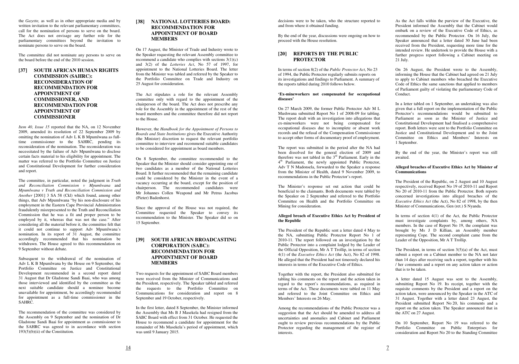the *Gazette,* as well as in other appropriate media and by written invitation to the relevant parliamentary committees. call for the nomination of persons to serve on the board. The Act does not envisage any further role for the parliamentary committees beyond the invitation to nominate persons to serve on the board.

The committee did not nominate any persons to serve on the board before the end of the 2010 session.

**[37] SOUTH AFRICAN HUMAN RIGHTS COMMISSION (SAHRC): RECONSIDERATION OF RECOMMENDATION FOR APPOINTMENT OF COMMISSIONER, AND RECOMMENDATION FOR APPOINTMENT OF COMMISSIONER** 

*Item 40, Issue 15* reported that the NA, on 12 November 2009, amended its resolution of 22 September 2009 by omitting the nomination of Adv L K B Mpumlwana as fulltime commissioner to the SAHRC, pending its reconsideration of the nomination. The reconsideration was necessitated by the failure of Adv Mpumlwana to disclose certain facts material to his eligibility for appointment. The matter was referred to the Portfolio Committee on Justice and Constitutional Development for further consideration and report.

The committee, in particular, noted the judgment in *Truth and Reconciliation Commission v Mpumlwana* and *Mpumlwana v Truth and Reconciliation Commission and Another* [2001] 3 SA 58 (Ckl) which found, among other things, that Adv Mpumlwana "by his non-disclosure of his employment in the Eastern Cape Provincial Administration fraudulently misrepresented to the Truth and Reconciliation Commission that he was a fit and proper person to be employed by it, whereas that was not the case." After considering all the material before it, the committee felt that it could not continue to support Adv Mpumlwana's nomination. In its report of 31 August, the committee accordingly recommended that his nomination be withdrawn. The House agreed to this recommendation on 9 September without debate.

Subsequent to the withdrawal of the nomination of Adv L K B Mpumlwana by the House on 9 September, the Portfolio Committee on Justice and Constitutional Development recommended in a second report dated 31 August that Dr Gladstone Sandi Baai, who was among those interviewed and identified by the committee as the next suitable candidate should a nominee become unavailable for appointment, be accordingly recommended for appointment as a full-time commissioner in the SAHRC.

The recommendation of the committee was considered by the Assembly on 9 September and the nomination of Dr Gladstone Sandi Baai for appointment as commissioner to the SAHRC was agreed to in accordance with section 193(5)(b)(ii) of the Constitution.

#### **[38] NATIONAL LOTTERIES BOARD: RECOMMENDATION FOR APPOINTMENT OF BOARD MEMBERS**

On 17 August, the Minister of Trade and Industry wrote to the Speaker requesting the relevant Assembly committee to recommend a candidate who complies with sections 3(1)(c) and 3(2) of the *Lotteries Act*, No 57 of 1997, for appointment to the National Lotteries Board. The letter from the Minister was tabled and referred by the Speaker to the Portfolio Committee on Trade and Industry on 25 August for consideration.

The Act stipulates a role for the relevant Assembly committee only with regard to the appointment of the chairperson of the board. The Act does not prescribe any role for the Assembly in the appointment of the rest of the board members and the committee therefore did not report to the House.

However, the *Handbook for the Appointment of Persons to Boards and State Institutions* gives the Executive Authority (the Minister) discretion to request the relevant portfolio committee to interview and recommend suitable candidates to be considered for appointment as board members.

As the Act falls within the purview of the Executive, the President informed the Assembly that the Cabinet would embark on a review of the Executive Code of Ethics, as recommended by the Public Protector. On 16 July, the Speaker announced that a letter dated 30 June had been received from the President, requesting more time for the intended review. He undertook to provide the House with a further progress report following a Cabinet meeting on  $21$  July.

On 8 September, the committee recommended to the Speaker that the Minister should consider appointing one of two candidates as a member of the National Lotteries Board. It further recommended that the remaining candidate could be considered by the Minister in the event of a vacancy occurring at the board, except for the position of chairperson. The recommended candidates were Mr Johannes Collen Weapond and Mr Petrus Jacobus (Pieter) Badenhorst.

Since the approval of the House was not required, the Committee requested the Speaker to convey its recommendation to the Minister. The Speaker did so on 15 September.

#### **[39] SOUTH AFRICAN BROADCASTING CORPORATION (SABC): RECOMMENDATION FOR APPOINTMENT OF BOARD MEMBERS**

Two requests for the appointment of SABC Board members were received from the Minister of Communications and the President, respectively. The Speaker tabled and referred the requests to the Portfolio Committee on Communications for consideration and report on 8 September and 19 October, respectively.

In the first letter, dated 8 September, the Minister informed the Assembly that Ms B J Masekela had resigned from the SABC Board with effect from 31 October. He requested the House to recommend a candidate for appointment for the remainder of Ms Masekela's period of appointment, which was until 9 January 2015.

decisions were to be taken, who the structure reported to and from where it obtained funding.

By the end of the year, discussions were ongoing on how to proceed with the House resolution.

#### **[20] REPORTS BY THE PUBLIC PROTECTOR**

In terms of section 8(2) of the *Public Protector Act*, No 23 of 1994, the Public Protector regularly submits reports on its investigations and findings to Parliament. A summary of the reports tabled during 2010 follows below.

#### **'Ex-mineworkers not compensated for occupational diseases'**

On 27 March 2009, the former Public Protector Adv M L Mushwana submitted Report No 1 of 2008-09 for tabling. The report dealt with an investigation into allegations that ex-mineworkers were not being compensated for occupational diseases due to incomplete or absent work records and the refusal of the Compensation Commissioner to accept other forms of documentary proof of employment.

The report was submitted in the period after the NA had been dissolved for the general election of 2009 and therefore was not tabled in the  $3<sup>rd</sup>$  Parliament. Early in the 4<sup>th</sup> Parliament, the newly appointed Public Protector, Adv T N Madonsela, forwarded to the Speaker a response from the Minister of Health, dated 9 November 2009, to recommendations in the Public Protector's report.

The Minister's response set out action that could be beneficial to the claimants. Both documents were tabled by the Speaker on 2 September and referred to the Portfolio Committee on Health and the Portfolio Committee on Mining for consideration.

#### **Alleged breach of Executive Ethics Act by President of the Republic**

The President of the Republic sent a letter dated 4 May to the NA, submitting Public Protector Report No 1 of 2010-11. The report followed on an investigation by the Public Protector into a complaint lodged by the Leader of the Official Opposition, Mr A T Trollip, in terms of section 4(1) of the *Executive Ethics Act* (the Act), No 82 of 1998. He alleged that the President had not timeously declared his interests in terms of the Executive Code of Ethics.

Together with the report, the President also submitted for tabling his comments on the report and the action taken in regard to the report's recommendations, as required in terms of the Act. These documents were tabled on 11 May and referred to the Joint Committee on Ethics and Members' Interests on 26 May.

Among the recommendations of the Public Protector was a suggestion that the Act should be amended to address all uncertainties and anomalies and Cabinet and Parliament ought to review previous recommendations by the Public Protector regarding the management of the register of interests.

On 26 August, the President wrote to the Assembly, informing the House that the Cabinet had agreed on 21 July to apply to Cabinet members who breached the Executive Code of Ethics the same sanctions that applied to members of Parliament guilty of violating the parliamentary Code of Conduct.

In a letter tabled on 1 September, an undertaking was also given that a full report on the implementation of the Public Protector's recommendations would be submitted to Parliament as soon as the Minister of Justice and Constitutional Development had finalised a comprehensive report. Both letters were sent to the Portfolio Committee on Justice and Constitutional Development and to the Joint Committee on Ethics and Members' Interests on 1 September.

By the end of the year, the Minister's report was still awaited.

#### **Alleged breaches of Executive Ethics Act by Minister of Communications**

The President of the Republic, on 2 August and 10 August respectively, received Report No 19 of 2010-11 and Report No 20 of 2010-11 from the Public Protector. Both reports concerned investigations into alleged breaches of the *Executive Ethics Act* (the Act), No 82 of 1998, by the then Minister of Communications, Gen (ret.) S Nyanda.

In terms of section 4(1) of the Act, the Public Protector must investigate complaints by, among others, NA members. In the case of Report No 19, the complaint was brought by Ms J D Killian, an Assembly member representing Cope. The second complaint came from the Leader of the Opposition, Mr A T Trollip.

The President, in terms of section 3(5)(a) of the Act, must submit a report on a Cabinet member to the NA not later than 14 days after receiving such a report, together with his / her comments and a report on any action taken or action that is to be taken.

A letter dated 15 August was sent to the Assembly, submitting Report No 19. Its receipt, together with the requisite comments by the President and a report on the action taken, were announced by the Speaker in the ATC of 31 August. Together with a letter dated 23 August, the President submitted Report No 20, his comments and a report on the action taken. The Speaker announced that in the ATC on 27 August.

On 10 September, Report No 19 was referred to the Portfolio Committee on Public Enterprises for consideration and Report No 20 to the Standing Committee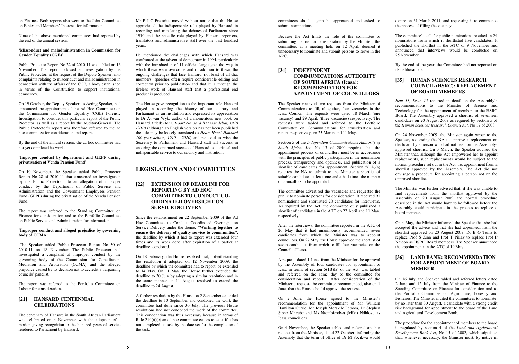on Finance. Both reports also went to the Joint Committee on Ethics and Members' Interests for information.

None of the above-mentioned committees had reported by the end of the annual session.

#### **'Misconduct and maladministration in Commission for Gender Equality (CGE)'**

Public Protector Report No 22 of 2010-11 was tabled on 16 November. The report followed an investigation by the Public Protector, at the request of the Deputy Speaker, into complaints relating to misconduct and maladministration in connection with the affairs of the CGE, a body established in terms of the Constitution to support institutional democracy.

On 19 October, the Deputy Speaker, as Acting Speaker, had announced the appointment of the Ad Hoc Committee on the Commission for Gender Equality (CGE) Forensic Investigation to consider this particular report of the Public Protector, as well as a report by the Auditor-General. The Public Protector's report was therefore referred to the ad hoc committee for consideration and report.

By the end of the annual session, the ad hoc committee had not yet completed its work.

#### **'Improper conduct by department and GEPF during privatisation of Venda Pension Fund'**

On 10 November, the Speaker tabled Public Protector Report No 28 of 2010-11 that concerned an investigation by the Public Protector into an allegation of improper conduct by the Department of Public Service and Administration and the Government Employees Pension Fund (GEPF) during the privatisation of the Venda Pension Fund.

The report was referred to the Standing Committee on Finance for consideration and to the Portfolio Committee on Public Service and Administration for information.

#### **'Improper conduct and alleged prejudice by governing body of CCMA'**

 The Speaker tabled Public Protector Report No 30 of 2010-11 on 18 November. The Public Protector had investigated a complaint of improper conduct by the governing body of the Commission for Conciliation, Mediation and Arbitration (CCMA) and the alleged prejudice caused by its decision not to accredit a bargaining councils' panelist.

The report was referred to the Portfolio Committee on Labour for consideration.

# **[21] HANSARD CENTENNIAL CELEBRATIONS**

The centenary of Hansard in the South African Parliament was celebrated on 4 November with the adoption of a motion giving recognition to the hundred years of service rendered to Parliament by Hansard.

Mr P J C Pretorius moved without notice that the House appreciated the indispensable role played by Hansard in recording and translating the debates of Parliament since 1910 and the specific role played by Hansard reporters, translators and administrative staff over the past hundred years.

He mentioned the challenges with which Hansard was confronted at the advent of democracy in 1994, particularly with the introduction of 11 official languages; the way in which these were overcome and in addition to these, the ongoing challenges that face Hansard, not least of all that members' speeches often require considerable editing and correction prior to publication and that it is through the tireless work of Hansard staff that a professional end product is produced.

The House gave recognition to the important role Hansard played in recording the history of our country and Parliament as an institution and expressed its appreciation to Dr At van Wyk, author of a momentous new book on Hansard, titled: *Hoor! Hoor! Hansard 100 jaar debat, 1910 -2010* (although an English version has not been published the title may be loosely translated as *Hear! Hear! Hansard 100-year debate, 1910 – 2010*) and resolved to wish the Secretary to Parliament and Hansard staff all success in ensuring the continued success of Hansard as a critical and indispensable service to our country and institution.

# **LEGISLATION AND COMMITTEES**

### **[22] EXTENSION OF DEADLINE FOR REPORTING BY AD HOC COMMITTEE TO CONDUCT CO-ORDINATED OVERSIGHT ON SERVICE DELIVERY**

Since the establishment on 22 September 2009 of the Ad Hoc Committee to Conduct Coordinated Oversight on Service Delivery under the theme: "**Working together to ensure the delivery of quality service to communities",** the deadline by which it had to report was extended four times and its work done after expiration of a particular deadline, condoned.

On 18 February, the House resolved that, notwithstanding the resolution it adopted on 12 November 2009, the deadline by which the committee had to report, be extended to 14 May. On 11 May, the House further extended the deadline to 30 July by adopting a similar resolution and in the same manner on 11 August resolved to extend the deadline to 24 August.

A further resolution by the House on 2 September extended the deadline to 10 September and condoned the work the committee had done since 30 July. The previous House resolutions had not condoned the work of the committee. This condonation was thus necessary because in terms of Rule  $214(6)(c)$  an ad hoc committee ceases to exist if it has not completed its task by the date set for the completion of the task.

committees should again be approached and asked to submit nominations.

Because the Act limits the role of the committee to submitting names for consideration by the Minister, the committee, at a meeting held on 12 April, deemed it unnecessary to nominate and submit persons to serve in the ARC.

#### **[34] INDEPENDENT COMMUNICATIONS AUTHORITY OF SOUTH AFRICA (Icasa): RECOMMENDATION FOR APPOINTMENT OF COUNCILLORS**

The Speaker received two requests from the Minister of Communications to fill, altogether, four vacancies in the Icasa Council. The requests were dated 18 March (one vacancy) and 29 April, (three vacancies) respectively. The requests were tabled and referred to the Portfolio Committee on Communications for consideration and report, respectively, on 25 March and 11 May.

Section 5 of the *Independent Communications Authority of South Africa Act*, No 13 of 2000 requires that the appointment process of councillors must be in accordance with the principles of public participation in the nomination process, transparency and openness, and publication of a shortlist of candidates for appointment. Section 5(1A)(a) requires the NA to submit to the Minister a shortlist of suitable candidates at least one and a half times the number of councillors to be appointed.

The committee advertised the vacancies and requested the public to nominate persons for consideration. It received 91 nominations and shortlisted 20 candidates for interviews. As required by the Act, the committee duly published a shortlist of candidates in the ATC on 22 April and 11 May, respectively.

After the interviews, the committee reported in the ATC of 26 May that it had unanimously recommended seven candidates from which the Minister was to appoint councillors. On 27 May, the House approved the shortlist of seven candidates from which to fill four vacancies on the Council of Icasa.

A request, dated 1 June, from the Minister for the approval by the Assembly of four candidates for appointment to Icasa in terms of section  $5(1B)(a)$  of the Act, was tabled and referred on the same day to the committee for consideration and report. After consideration of the Minister's request, the committee recommended, also on 1 June, that the House should approve the request.

On 2 June, the House agreed to the Minister's recommendation for the appointment of Mr William Hamilton Currie, Mr Joseph Morakile Lebooa, Dr Stephen Sipho Mncube and Ms Ntombizodwa (Miki) Ndhlovu as Icasa councillors.

On 4 November, the Speaker tabled and referred another request from the Minister, dated 22 October, informing the Assembly that the term of office of Dr M Socikwa would expire on 31 March 2011, and requesting it to commence the process of filling the vacancy.

The committee's call for public nominations resulted in 24 nominations from which it shortlisted five candidates. It published the shortlist in the ATC of 9 November and announced that interviews would be conducted on 25 November.

By the end of the year, the Committee had not reported on its deliberations.

## **[35] HUMAN SCIENCES RESEARCH COUNCIL (HSRC): REPLACEMENT OF BOARD MEMBERS**

*Item 33, Issue 15* reported in detail on the Assembly's recommendations to the Minister of Science and Technology for the appointment of members to the HSRC Board. The Assembly approved a shortlist of seventeen candidates on 20 August 2009 as required by section 5 of the *Human Sciences Research Council Act*, No 17 of 2008.

On 24 November 2009, the Minister again wrote to the Speaker, requesting the NA to approve a replacement on the board by a person who had not been on the Assemblyapproved shortlist. On 3 March, the Speaker advised the Minister that, although the Act empowered her to appoint replacements, such replacements would be subject to the normal procedure set out in the Act, i.e. appointment from a shortlist approved by the Assembly. The Act did not envisage a procedure for appointing a person not on the approved shortlist.

The Minister was further advised that, if she was unable to find replacements from the shortlist approved by the Assembly on 20 August 2009, the normal procedure described in the Act would have to be followed before the Assembly could participate in the process to replace a board member.

On 4 May, the Minister informed the Speaker that she had accepted the advice and that she had appointed, from the shortlist approved on 20 August 2009, Dr B O Tema to replace Prof S Zinn and Prof T Pillay to replace Prof P Naidoo as HSRC Board members. The Speaker announced the appointments in the ATC of 19 May.

# **[36] LAND BANK: RECOMMENDATION FOR APPOINTMENT OF BOARD MEMBER**

On 16 July, the Speaker tabled and referred letters dated 2 June and 12 July from the Minister of Finance to the Standing Committee on Finance for consideration and to the Portfolio Committee on Agriculture, Forestry and Fisheries. The Minister invited the committees to nominate, by no later than 30 August, a candidate with a strong credit risk background for appointment to the board of the Land and Agricultural Development Bank.

The procedure for the appointment of members to the board is regulated by section 4 of the *Land and Agricultural Development Bank Act*, No 15 of 2002, which stipulates that, whenever necessary, the Minister must, by notice in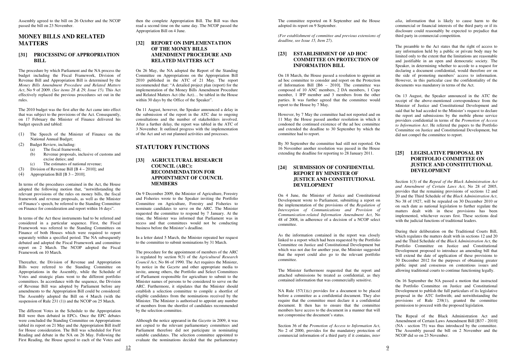Assembly agreed to the bill on 26 October and the NCOP passed the bill on 23 November.

# **MONEY BILLS AND RELATED MATTERS**

#### **[31] PROCESSING OF APPROPRIATION BILL**

The procedure by which Parliament and the NA process the budget including the Fiscal Framework, Division of Revenue Bill and Appropriation Bill is determined by the *Money Bills Amendment Procedure and Related Matters Act*, No 9 of 2009. *(See items 28 & 29, Issue 15).* This Act effectively replaced the previous procedures set out in the rules.

- (1) The Speech of the Minister of Finance on the National Annual Budget;
- (2) Budget Review, including:
	- (a) The fiscal framework;
	- (b) Revenue proposals, inclusive of customs and excise duties; and
	- (c) The estimates of national revenue;
- (3) Division of Revenue Bill [B 4 2010]; and
- (4) Appropriation Bill  $[B 3 2010]$ .

The 2010 budget was the first after the Act came into effect that was subject to the provisions of the Act. Consequently, on 17 February the Minister of Finance delivered his budget speech and tabled:

Thereafter, the Division of Revenue and Appropriation Bills were referred to the Standing Committee on Appropriations in the Assembly, while the Schedule of Votes and strategic plans went to the different portfolio committees. In accordance with the sequence, the Division of Revenue Bill was adopted by Parliament before any amendments to the Appropriation Bill could be considered: The Assembly adopted the Bill on 4 March (with the suspension of Rule 231 (1)) and the NCOP on 25 March.

In terms of the procedures contained in the Act, the House adopted the following motion that, "notwithstanding the relevant provisions of the rules on money bills, the fiscal framework and revenue proposals, as well as the Minister of Finance's speech, be referred to the Standing Committee on Finance for consideration and report within 16 days".

In terms of the Act these instruments had to be referred and considered in a particular sequence. First, the Fiscal Framework was referred to the Standing Committees on Finance of both Houses which were required to report separately within a specified period. The NA subsequently debated and adopted the Fiscal Framework and committee report on 2 March. The NCOP adopted the Fiscal Framework on 10 March.

The different Votes in the Schedule to the Appropriation Bill were then debated in EPCs. Once the EPC debates were concluded the Standing Committee on Appropriations tabled its report on 21 May and the Appropriation Bill itself for House consideration. The Bill was scheduled for First Reading and debate in the NA on 26 May. Following the First Reading, the House agreed to each of the Votes and

then the complete Appropriation Bill. The Bill was then read a second time on the same day. The NCOP passed the Appropriation Bill on 4 June.

# **[32] REPORT ON IMPLEMENTATION OF THE MONEY BILLS AMENDMENT PROCEDURE AND RELATED MATTERS ACT**

On 26 May, the NA adopted the Report of the Standing Committee on Appropriations on the Appropriation Bill 2010 published in the ATC of 21 May. The report recommended that: "A detailed project plan (report) for the implementation of the Money Bills Amendment Procedure and Related Matters Act (the Act)… be tabled in the House within 30 days by the Office of the Speaker".

On 11 August, however, the Speaker announced a delay in the submission of the report in the ATC due to ongoing consultations and the number of stakeholders involved. After a further delay, the report was tabled in the ATC of 3 November. It outlined progress with the implementation of the Act and set out planned activities and processes.

# **STATUTORY FUNCTIONS**

**[33] AGRICULTURAL RESEARCH COUNCIL (ARC): RECOMMENDATION FOR APPOINTMENT OF COUNCIL MEMBERS** 

On 9 December 2009, the Minister of Agriculture, Forestry and Fisheries wrote to the Speaker inviting the Portfolio Committee on Agriculture, Forestry and Fisheries to nominate candidates to serve on the ARC. The Minister requested the committee to respond by 7 January. At the time, the Minister was informed that Parliament was in recess and that committees would not be conducting business before the Minister's deadline.

In a letter dated 5 March, the Minister repeated her request to the committee to submit nominations by 31 March.

The procedure for the appointment of members of the ARC is regulated by section 9(3) of the *Agricultural Research Council Act*, No 86 of 1990. The Act requires the Minister, by notice in the *Gazette* and other appropriate media to invite, among others, the Portfolio and Select Committees of Parliament responsible for agriculture to submit to the Minister names of persons to be considered to serve on the ARC. Furthermore, it stipulates that the Minister should establish a selection committee to compile a shortlist of eligible candidates from the nominations received by the Minister. The Minister is authorised to appoint any number of members from the shortlist of candidates recommended by the selection committee.

Although the notice appeared in the *Gazette* in 2009, it was not copied to the relevant parliamentary committees and Parliament therefore did not participate in nominating suitable candidates. The selection committee appointed to evaluate the nominations decided that the parliamentary

The committee reported on 8 September and the House adopted its report on 9 September.

*(For establishment of committee and previous extensions of deadline, see Issue 15, Item 27)*.

# **[23] ESTABLISHMENT OF AD HOC COMMITTEE ON PROTECTION OF INFORMATION BILL**

On 18 March, the House passed a resolution to appoint an ad hoc committee to consider and report on the Protection of Information Bill [B6 – 2010]. The committee was composed of 10 ANC members, 2 DA members, 1 Cope member, 1 IFP member and 3 members from the other parties. It was further agreed that the committee would report to the House by 7 May.

However, by 7 May the committee had not reported and on 11 May the House passed another resolution in which it condoned the continued existence of the ad hoc committee and extended the deadline to 30 September by which the committee had to report.

By 30 September the committee had still not reported. On 16 November another resolution was passed in the House extending the deadline for reporting to 28 January 2011.

# **[24] SUBMISSION OF CONFIDENTIAL REPORT BY MINISTER OF JUSTICE AND CONSTITUTIONAL DEVELOPMENT**

On 4 June, the Minister of Justice and Constitutional Development wrote to Parliament, submitting a report on the implementation of the provisions of the *Regulation of Interception of Communications and Provision of Communication-related Information Amendment Act*, No 48 of 2008, in adherence of a decision of a NCOP select committee.

As the information contained in the report was closely linked to a report which had been requested by the Portfolio Committee on Justice and Constitutional Development but which was not due for another year, the Minister suggested that the report could also go to the relevant portfolio committee.

The Minister furthermore requested that the report and attached submissions be treated as confidential, as they contained information that was commercially sensitive.

NA Rule 157(1)(c) provides for a document to be placed before a committee as a confidential document. They also require that the committee must declare it a confidential document. It then has to ensure that the committee members have access to the document in a manner that will not compromise the document's status.

Section 36 of the *Promotion of Access to Information Act*, No 2 of 2000, provides for the mandatory protection of commercial information of a third party if it contains, *inter*  *alia*, information that is likely to cause harm to the commercial or financial interests of the third party or if its disclosure could reasonably be expected to prejudice that third party in commercial competition.

The preamble to the Act states that the right of access to any information held by a public or private body may be limited only to the extent that the limitations are reasonable and iustifiable in an open and democratic society. The Speaker, in determining whether to accede to a request for declaring a document confidential, would therefore err on the side of promoting members' access to information. However, in this particular case the confidentiality of the documents was mandatory in terms of the Act.

On 13 August, the Speaker announced in the ATC the receipt of the above-mentioned correspondence from the Minister of Justice and Constitutional Development and said that he had acceded to the Minister's request to declare the report and submissions by the mobile phone service providers confidential in terms of the *Promotion of Access to Information Act*. He referred the papers to the Portfolio Committee on Justice and Constitutional Development, but did not compel the committee to report.

# **[25] LEGISLATIVE PROPOSAL BY PORTFOLIO COMMITTEE ON JUSTICE AND CONSTITUTIONAL DEVELOPMENT**

Section 1(3) of the *Repeal of the Black Administration Act and Amendment of Certain Laws Act*, No 28 of 2005, provides that the remaining provisions of sections 12 and 20 and the Third Schedule of the *Black Administration Act*, No 38 of 1927, will be repealed on 30 December 2010 or on such date as national legislation to further regulate the matters dealt with in these provisions has been implemented, whichever occurs first. These sections deal with the judicial functions of traditional leaders.

During their deliberation on the Traditional Courts Bill, which regulates the matters dealt with in sections 12 and 20 and the Third Schedule of the *Black Administration Act*, the Portfolio Committee on Justice and Constitutional Development proposed to introduce an amending bill that will extend the date of application of these provisions to 30 December 2012 for the purposes of obtaining greater public input and consensus on contentious issues and allowing traditional courts to continue functioning legally.

On 16 September the NA passed a motion that instructed the Portfolio Committee on Justice and Constitutional Development to publish the full particulars of its legislative proposal in the ATC forthwith; and notwithstanding the provisions of Rule 238(1), granted the committee permission to proceed with the proposed legislation.

The Repeal of the Black Administration Act and Amendment of Certain Laws Amendment Bill [B37 - 2010] (NA - section 75) was thus introduced by the committee. The Assembly passed the bill on 2 November and the NCOP did so on 23 November.